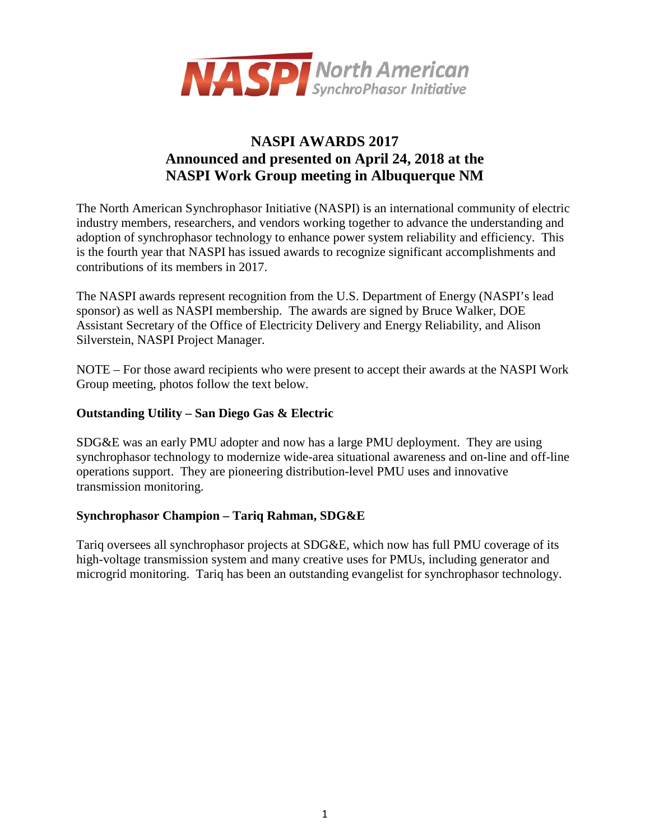

# **NASPI AWARDS 2017 Announced and presented on April 24, 2018 at the NASPI Work Group meeting in Albuquerque NM**

The North American Synchrophasor Initiative (NASPI) is an international community of electric industry members, researchers, and vendors working together to advance the understanding and adoption of synchrophasor technology to enhance power system reliability and efficiency. This is the fourth year that NASPI has issued awards to recognize significant accomplishments and contributions of its members in 2017.

The NASPI awards represent recognition from the U.S. Department of Energy (NASPI's lead sponsor) as well as NASPI membership. The awards are signed by Bruce Walker, DOE Assistant Secretary of the Office of Electricity Delivery and Energy Reliability, and Alison Silverstein, NASPI Project Manager.

NOTE – For those award recipients who were present to accept their awards at the NASPI Work Group meeting, photos follow the text below.

#### **Outstanding Utility – San Diego Gas & Electric**

SDG&E was an early PMU adopter and now has a large PMU deployment. They are using synchrophasor technology to modernize wide-area situational awareness and on-line and off-line operations support. They are pioneering distribution-level PMU uses and innovative transmission monitoring.

#### **Synchrophasor Champion – Tariq Rahman, SDG&E**

Tariq oversees all synchrophasor projects at SDG&E, which now has full PMU coverage of its high-voltage transmission system and many creative uses for PMUs, including generator and microgrid monitoring. Tariq has been an outstanding evangelist for synchrophasor technology.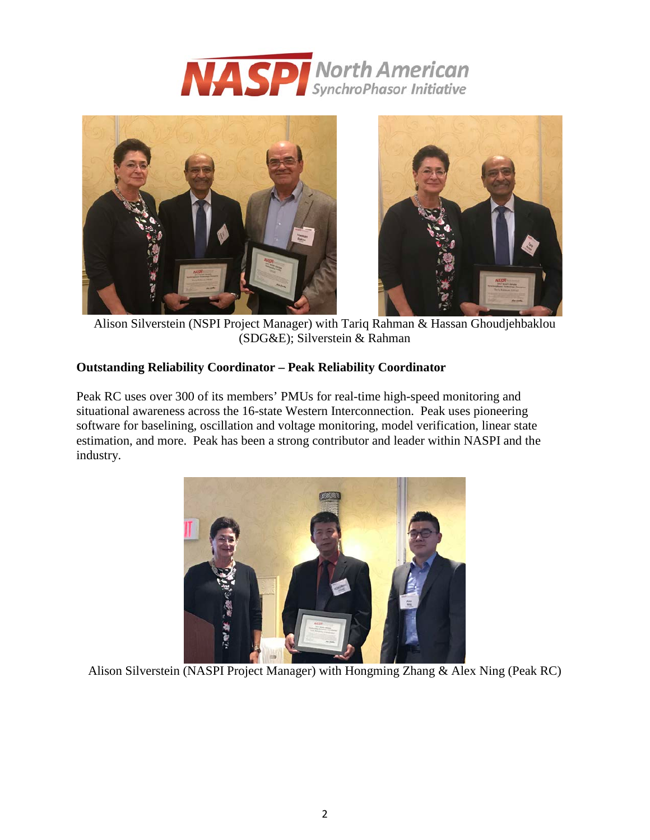



Alison Silverstein (NSPI Project Manager) with Tariq Rahman & Hassan Ghoudjehbaklou (SDG&E); Silverstein & Rahman

# **Outstanding Reliability Coordinator – Peak Reliability Coordinator**

Peak RC uses over 300 of its members' PMUs for real-time high-speed monitoring and situational awareness across the 16-state Western Interconnection. Peak uses pioneering software for baselining, oscillation and voltage monitoring, model verification, linear state estimation, and more. Peak has been a strong contributor and leader within NASPI and the industry.



Alison Silverstein (NASPI Project Manager) with Hongming Zhang & Alex Ning (Peak RC)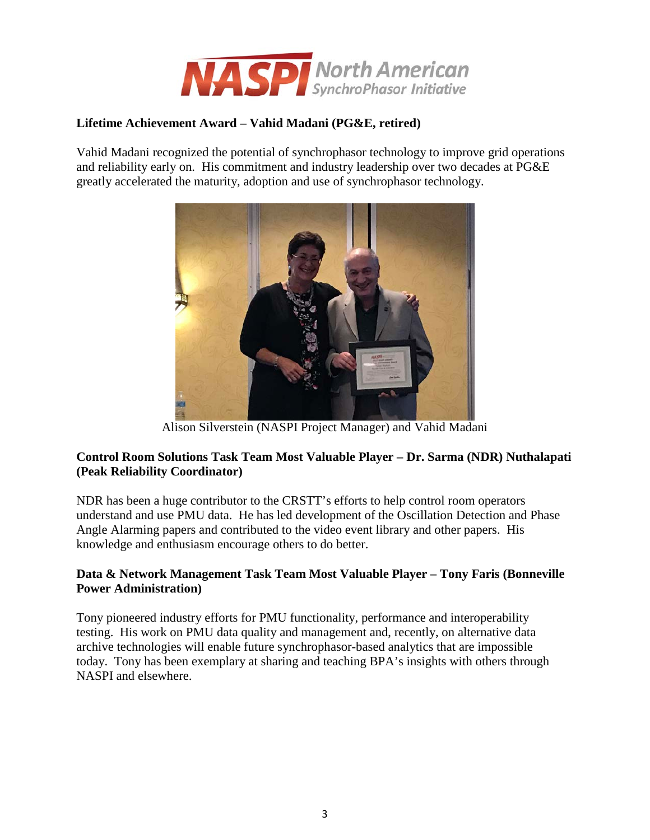

# **Lifetime Achievement Award – Vahid Madani (PG&E, retired)**

Vahid Madani recognized the potential of synchrophasor technology to improve grid operations and reliability early on. His commitment and industry leadership over two decades at PG&E greatly accelerated the maturity, adoption and use of synchrophasor technology.



Alison Silverstein (NASPI Project Manager) and Vahid Madani

### **Control Room Solutions Task Team Most Valuable Player – Dr. Sarma (NDR) Nuthalapati (Peak Reliability Coordinator)**

NDR has been a huge contributor to the CRSTT's efforts to help control room operators understand and use PMU data. He has led development of the Oscillation Detection and Phase Angle Alarming papers and contributed to the video event library and other papers. His knowledge and enthusiasm encourage others to do better.

### **Data & Network Management Task Team Most Valuable Player – Tony Faris (Bonneville Power Administration)**

Tony pioneered industry efforts for PMU functionality, performance and interoperability testing. His work on PMU data quality and management and, recently, on alternative data archive technologies will enable future synchrophasor-based analytics that are impossible today. Tony has been exemplary at sharing and teaching BPA's insights with others through NASPI and elsewhere.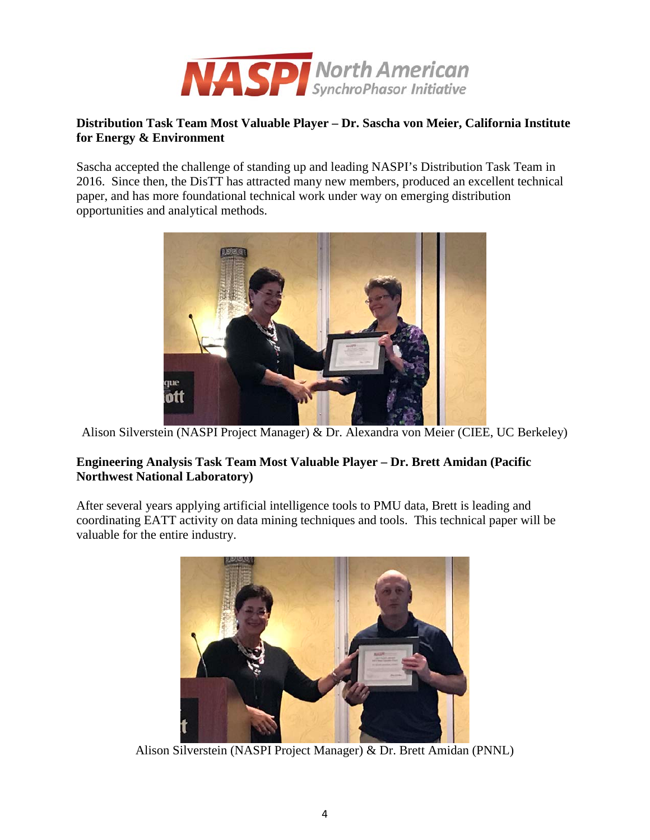

# **Distribution Task Team Most Valuable Player – Dr. Sascha von Meier, California Institute for Energy & Environment**

Sascha accepted the challenge of standing up and leading NASPI's Distribution Task Team in 2016. Since then, the DisTT has attracted many new members, produced an excellent technical paper, and has more foundational technical work under way on emerging distribution opportunities and analytical methods.



Alison Silverstein (NASPI Project Manager) & Dr. Alexandra von Meier (CIEE, UC Berkeley)

### **Engineering Analysis Task Team Most Valuable Player – Dr. Brett Amidan (Pacific Northwest National Laboratory)**

After several years applying artificial intelligence tools to PMU data, Brett is leading and coordinating EATT activity on data mining techniques and tools. This technical paper will be valuable for the entire industry.



Alison Silverstein (NASPI Project Manager) & Dr. Brett Amidan (PNNL)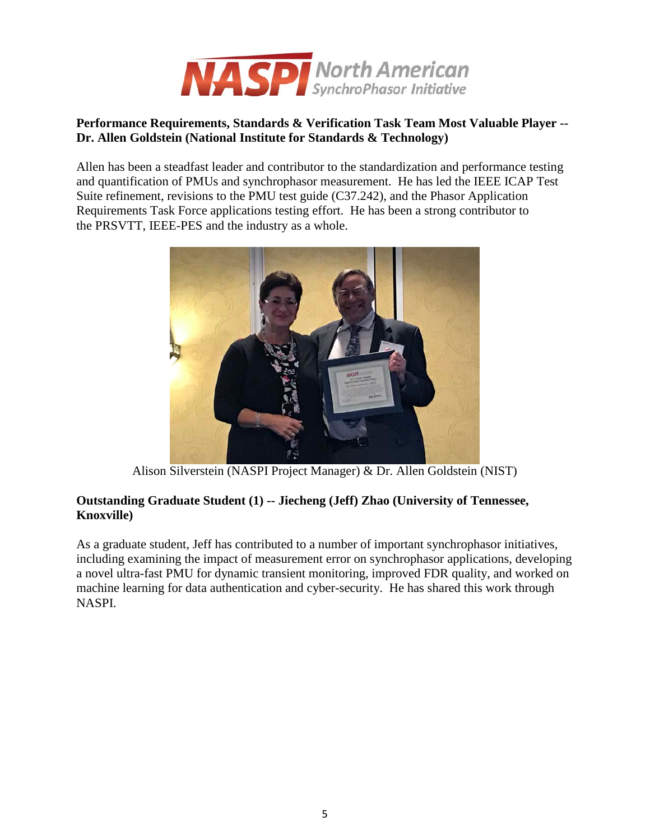

# **Performance Requirements, Standards & Verification Task Team Most Valuable Player -- Dr. Allen Goldstein (National Institute for Standards & Technology)**

Allen has been a steadfast leader and contributor to the standardization and performance testing and quantification of PMUs and synchrophasor measurement. He has led the IEEE ICAP Test Suite refinement, revisions to the PMU test guide (C37.242), and the Phasor Application Requirements Task Force applications testing effort. He has been a strong contributor to the PRSVTT, IEEE-PES and the industry as a whole.



Alison Silverstein (NASPI Project Manager) & Dr. Allen Goldstein (NIST)

# **Outstanding Graduate Student (1) -- Jiecheng (Jeff) Zhao (University of Tennessee, Knoxville)**

As a graduate student, Jeff has contributed to a number of important synchrophasor initiatives, including examining the impact of measurement error on synchrophasor applications, developing a novel ultra-fast PMU for dynamic transient monitoring, improved FDR quality, and worked on machine learning for data authentication and cyber-security. He has shared this work through NASPI.